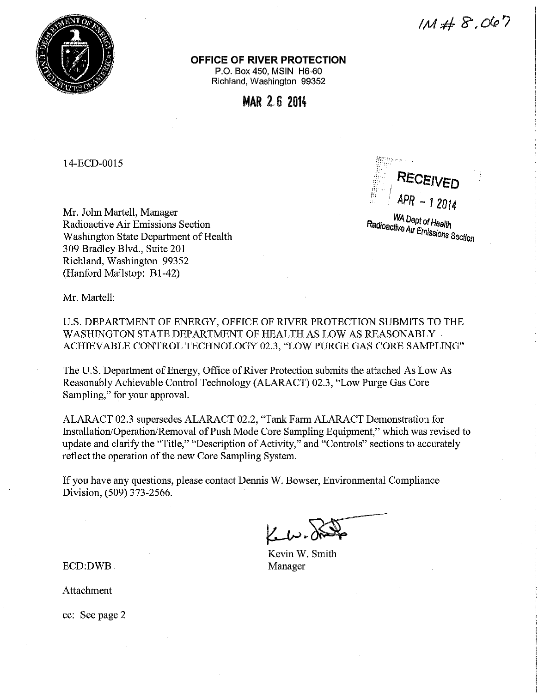

 $1M#8,067$ 

**OFFICE OF RIVER PROTECTION** 

P.O. Box 450, MSIN H6-60 Richland, Washington 99352

**MAR** 2. 6 **<sup>2014</sup>**

14-ECD-0015

Mr. John Martell, Manager Radioactive Air Emissions Section Washington State Department of Health 309 Bradley Blvd., Suite 201 Richland, Washington 99352 (Hanford Mailstop: B1-42)



**Radioactive Air Emission** *missions* Section

Mr. Martell:

U.S. DEPARTMENT OF ENERGY, OFFICE OF RIVER PROTECTION SUBMITS TO THE WASHINGTON STATE DEPARTMENT OF HEALTH AS LOW AS REASONABLY . ACHIEVABLE CONTROL TECHNOLOGY 02.3, "LOW PURGE GAS CORE SAMPLING"

The U.S. Department of Energy, Office of River Protection submits the attached As Low As Reasonably Achievable Control Technology (ALARACT) 02.3, "Low Purge Gas Core Sampling," for your approval.

ALARACT 02.3 supersedes ALARACT 02.2, "Tank Farm ALARACT Demonstration for Installation/Operation/Removal of Push Mode Core Sampling Equipment," which was revised to update and clarify the "Title," "Description of Activity," and "Controls" sections to accurately reflect the operation of the new Core Sampling System.

If you have any questions, please contact Dennis W. Bowser, Environmental Compliance Division, (509) 373-2566.

Kevin W. Smith Manager

ECD:DWB

Attachment

cc: See page 2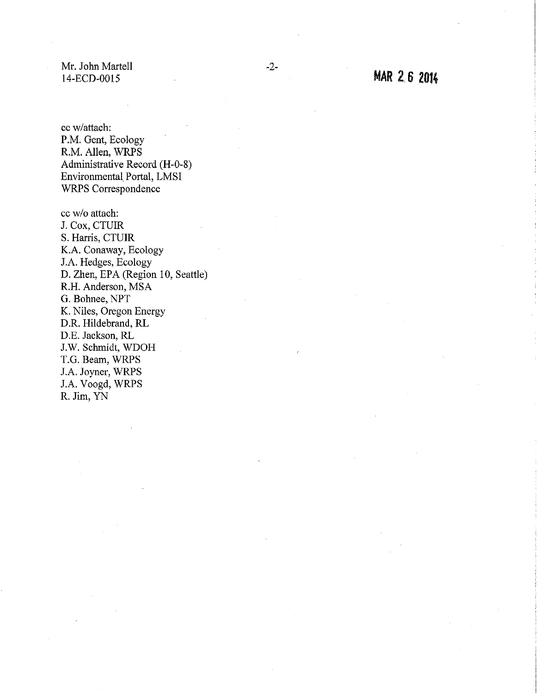Mr. John Martell 14-ECD-0015

cc w/attach: P.M. Gent, Ecology R.M. Allen, WRPS Administrative Record (H-0-8) Environmental Portal, LMSI WRPS Correspondence

cc w/o attach: J. Cox, CTUIR S. Harris, CTUIR K.A. Conaway, Ecology J.A. Hedges, Ecology D. Zhen, EPA (Region 10, Seattle) R.H. Anderson, MSA G. Bohnee, NPT K. Niles, Oregon Energy D.R. Hildebrand, RL D.E. Jackson, RL J.W. Schmidt, WDOH T.G. Beam, WRPS J.A. Joyner, WRPS J.A. Voogd, WRPS R. Jim, YN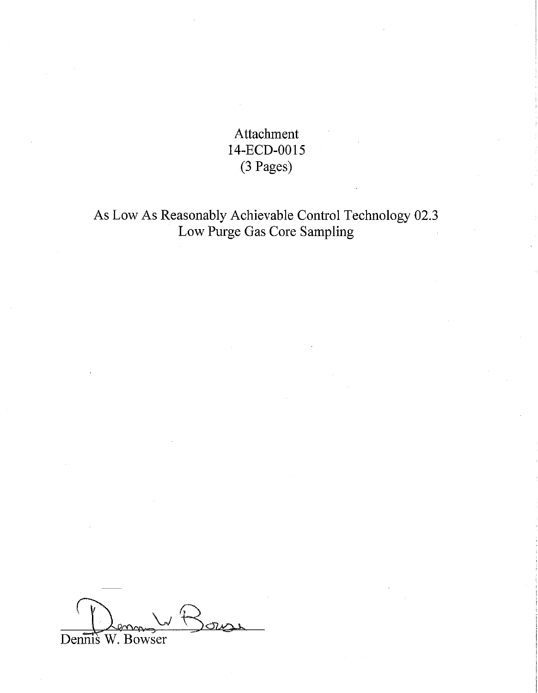Attachment 14-ECD-0015 (3 Pages)

As Low As Reasonably Achievable Control Technology 02.3 Low Purge Gas Core Sampling

Dennis W. Bowser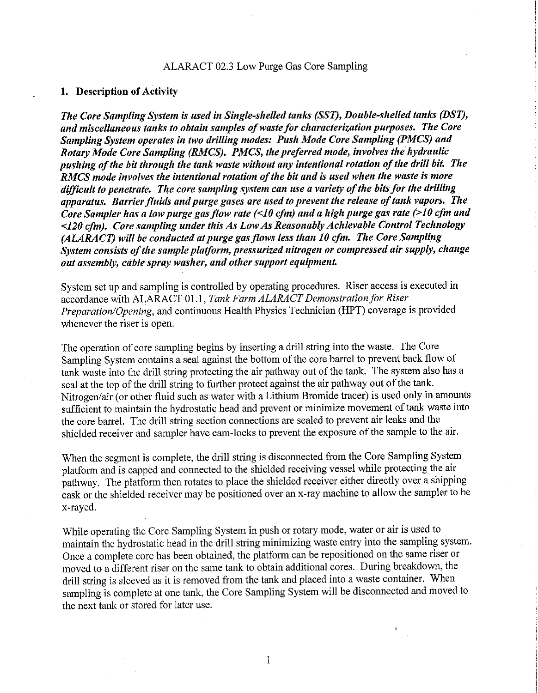### ALARACT 02.3 Low Purge Gas Core Sampling

### **1. Description of Activity**

*The Core Sampling System is used in Single-shelled tanks (SST), Double-shelled tanks (DST), and miscellaneous tanks to obtain samples of waste for characterization purposes. The Core Sampling System operates in two drilling modes: Push Mode Core Sampling (PMCS) and Rotary Mode Core Sampling (RMCS). PMCS, the preferred mode, involves the hydraulic pushing of the bit through the tank waste without any intentional rotation of the drill bit. The RMCS mode involves the intentional rotation of the bit and is used when the waste is more difficult to penetrate. The core sampling system can use a variety of the bits for the drilling apparatus. Barrier fluids and purge gases are used to prevent the release of tank vapors. The Core Sampler has a low purge gas flow rate (<10 cfm) and a high purge gas rate (>10 cfm and <120 cfm). Core sampling under this As Low As Reasonably Achievable Control Technology (ALARA CT) will be conducted at purge gas flows less than 10 cfm. The Core Sampling System consists of the sample platform, pressurized nitrogen or compressed air supply, change out assembly, cable spray washer, and other support equipment.* 

System set up and sampling is controlled by operating procedures. Riser access is executed in accordance with ALARACT 01.1, *Tank Farm ALARACT Demonstration for Riser Preparation/Opening,* and continuous Health Physics Technician (HPT) coverage is provided whenever the riser is open.

The operation of core sampling begins by inserting a drill string into the waste. The Core Sampling System contains a seal against the bottom of the core barrel to prevent back flow of tank waste into the drill string protecting the air pathway out of the tank. The system also has a seal at the top of the drill string to further protect against the air pathway out of the tank. Nitrogen/air (or other fluid such as water with a Lithium Bromide tracer) is used only in amounts sufficient to maintain the hydrostatic head and prevent or minimize movement of tank waste into the core barrel. The drill string section connections are sealed to prevent air leaks and the shielded receiver and sampler have cam-locks to prevent the exposure of the sample to the air.

When the segment is complete, the drill string is disconnected from the Core Sampling System platform and is capped and connected to the shielded receiving vessel while protecting the air pathway. The platform then rotates to place the shielded receiver either directly over a shipping cask or the shielded receiver may be positioned over an x-ray machine to allow the sampler to be x-rayed.

While operating the Core Sampling System in push or rotary mode, water or air is used to maintain the hydrostatic head in the drill string minimizing waste entry into the sampling system. Once a complete core has been obtained, the platform can be repositioned on the same riser or moved to a different riser on the same tank to obtain additional cores. During breakdown, the drill string is sleeved as it is removed from the tank and placed into a waste container. When sampling is complete at one tank, the Core Sampling System will be disconnected and moved to the next tank or stored for later use.

 $\mathbf{1}$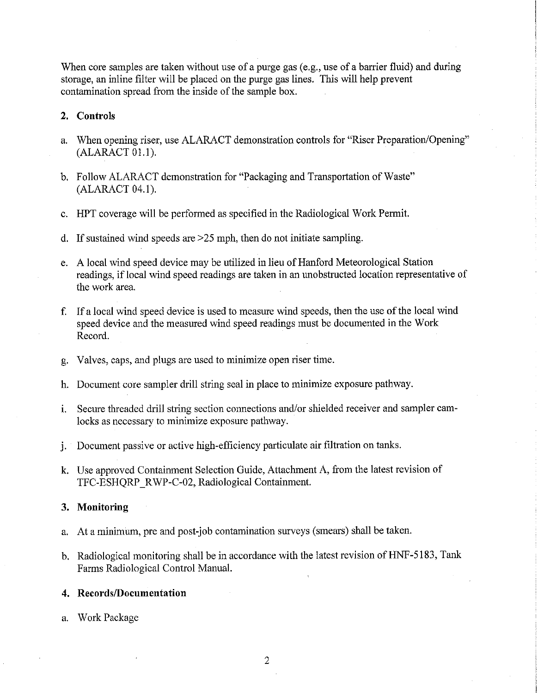When core samples are taken without use of a purge gas (e.g., use of a barrier fluid) and during storage, an inline filter will be placed on the purge gas lines. This will help prevent contamination spread from the inside of the sample box.

## **2. Controls**

- a. When opening riser, use ALARACT demonstration controls for "Riser Preparation/Opening" (ALARACT 01.1).
- b. Follow ALARACT demonstration for "Packaging and Transportation of Waste" (ALARACT 04.1).
- c. HPT coverage will be performed as specified in the Radiological Work Permit.
- d. If sustained wind speeds are  $\geq$  25 mph, then do not initiate sampling.
- e. A local wind speed device may be utilized in lieu of Hanford Meteorological Station readings, if local wind speed readings are taken in an unobstructed location representative of the work area.
- f. If a local wind speed device is used to measure wind speeds, then the use of the local wind speed device and the measured wind speed readings must be documented in the Work Record.
- g. Valves, caps, and plugs are used to minimize open riser time.
- h. Document core sampler drill string seal in place to minimize exposure pathway.
- i. Secure threaded drill string section connections and/or shielded receiver and sampler camlocks as necessary to minimize exposure pathway.
- j. Document passive or active high-efficiency particulate air filtration on tanks.
- k. Use approved Containment Selection Guide, Attachment A, from the latest revision of TFC-ESHQRP RWP-C-02, Radiological Containment.

#### **3. Monitoring**

- a. At a minimum, pre and post-job contamination surveys (smears) shall be taken.
- b. Radiological monitoring shall be in accordance with the latest revision of HNF-5183, Tank Farms Radiological Control Manual.

#### **4. Records/Documentation**

a. Work Package

2